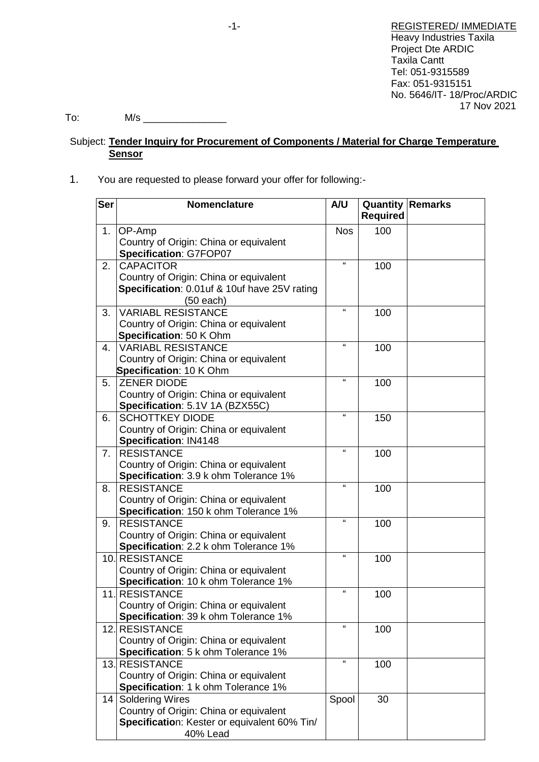To: M/s \_\_\_\_\_\_\_\_\_\_\_\_\_\_\_

# Subject: **Tender Inquiry for Procurement of Components / Material for Charge Temperature Sensor**

# 1. You are requested to please forward your offer for following:-

| <b>Ser</b>     | <b>Nomenclature</b>                          | A/U          | <b>Quantity Remarks</b><br><b>Required</b> |  |
|----------------|----------------------------------------------|--------------|--------------------------------------------|--|
| 1.             | OP-Amp                                       | <b>Nos</b>   | 100                                        |  |
|                | Country of Origin: China or equivalent       |              |                                            |  |
|                | Specification: G7FOP07                       |              |                                            |  |
| 2.             | <b>CAPACITOR</b>                             | $\mathbf{a}$ | 100                                        |  |
|                | Country of Origin: China or equivalent       |              |                                            |  |
|                | Specification: 0.01uf & 10uf have 25V rating |              |                                            |  |
|                | (50 each)                                    |              |                                            |  |
| 3.             | <b>VARIABL RESISTANCE</b>                    | $\mathbf{u}$ | 100                                        |  |
|                | Country of Origin: China or equivalent       |              |                                            |  |
|                | Specification: 50 K Ohm                      |              |                                            |  |
| $4_{\cdot}$    | <b>VARIABL RESISTANCE</b>                    | $\mathbf{f}$ | 100                                        |  |
|                | Country of Origin: China or equivalent       |              |                                            |  |
|                | Specification: 10 K Ohm                      |              |                                            |  |
| 5.             | <b>ZENER DIODE</b>                           | $\mathbf{G}$ | 100                                        |  |
|                | Country of Origin: China or equivalent       |              |                                            |  |
|                | Specification: 5.1V 1A (BZX55C)              |              |                                            |  |
| 6.             | <b>SCHOTTKEY DIODE</b>                       | $\mathbf{u}$ | 150                                        |  |
|                | Country of Origin: China or equivalent       |              |                                            |  |
|                | Specification: IN4148                        |              |                                            |  |
| 7 <sub>1</sub> | <b>RESISTANCE</b>                            | $\mathbf{G}$ | 100                                        |  |
|                | Country of Origin: China or equivalent       |              |                                            |  |
|                | Specification: 3.9 k ohm Tolerance 1%        |              |                                            |  |
| 8.             | <b>RESISTANCE</b>                            | $\mathbf{a}$ | 100                                        |  |
|                | Country of Origin: China or equivalent       |              |                                            |  |
|                | Specification: 150 k ohm Tolerance 1%        |              |                                            |  |
| 9.             | <b>RESISTANCE</b>                            | $\mathbf{G}$ | 100                                        |  |
|                | Country of Origin: China or equivalent       |              |                                            |  |
|                | Specification: 2.2 k ohm Tolerance 1%        |              |                                            |  |
|                | 10. RESISTANCE                               | $\mathbf{G}$ | 100                                        |  |
|                | Country of Origin: China or equivalent       |              |                                            |  |
|                | Specification: 10 k ohm Tolerance 1%         |              |                                            |  |
| 11.            | <b>RESISTANCE</b>                            | $\mathbf{G}$ | 100                                        |  |
|                | Country of Origin: China or equivalent       |              |                                            |  |
|                | Specification: 39 k ohm Tolerance 1%         | $\mathbf{u}$ |                                            |  |
|                | 12. RESISTANCE                               |              | 100                                        |  |
|                | Country of Origin: China or equivalent       |              |                                            |  |
|                | Specification: 5 k ohm Tolerance 1%          |              |                                            |  |
|                | 13. RESISTANCE                               | $\mathbf{G}$ | 100                                        |  |
|                | Country of Origin: China or equivalent       |              |                                            |  |
|                | Specification: 1 k ohm Tolerance 1%          |              |                                            |  |
| 14             | <b>Soldering Wires</b>                       | Spool        | 30                                         |  |
|                | Country of Origin: China or equivalent       |              |                                            |  |
|                | Specification: Kester or equivalent 60% Tin/ |              |                                            |  |
|                | 40% Lead                                     |              |                                            |  |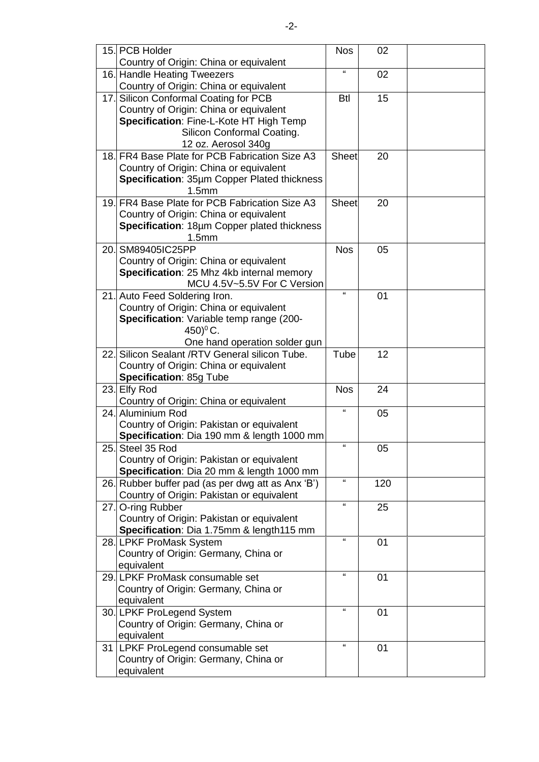|      | 15. PCB Holder                                                             | <b>Nos</b>   | 02  |  |
|------|----------------------------------------------------------------------------|--------------|-----|--|
|      | Country of Origin: China or equivalent                                     |              |     |  |
|      | 16. Handle Heating Tweezers                                                | $\epsilon$   | 02  |  |
|      | Country of Origin: China or equivalent                                     |              |     |  |
| 17.  | Silicon Conformal Coating for PCB                                          | <b>Btl</b>   | 15  |  |
|      | Country of Origin: China or equivalent                                     |              |     |  |
|      | Specification: Fine-L-Kote HT High Temp                                    |              |     |  |
|      | Silicon Conformal Coating.                                                 |              |     |  |
|      | 12 oz. Aerosol 340g                                                        |              |     |  |
|      | 18. FR4 Base Plate for PCB Fabrication Size A3                             | Sheet        | 20  |  |
|      | Country of Origin: China or equivalent                                     |              |     |  |
|      | Specification: 35µm Copper Plated thickness                                |              |     |  |
|      | 1.5 <sub>mm</sub>                                                          |              |     |  |
|      | 19. FR4 Base Plate for PCB Fabrication Size A3                             | <b>Sheet</b> | 20  |  |
|      | Country of Origin: China or equivalent                                     |              |     |  |
|      | Specification: 18µm Copper plated thickness                                |              |     |  |
|      | 1.5 <sub>mm</sub>                                                          |              |     |  |
| 20.  | SM89405IC25PP                                                              | <b>Nos</b>   | 05  |  |
|      | Country of Origin: China or equivalent                                     |              |     |  |
|      | Specification: 25 Mhz 4kb internal memory                                  |              |     |  |
|      | MCU 4.5V~5.5V For C Version                                                |              |     |  |
|      | 21. Auto Feed Soldering Iron.                                              | $\mathbf{G}$ | 01  |  |
|      | Country of Origin: China or equivalent                                     |              |     |  |
|      | Specification: Variable temp range (200-                                   |              |     |  |
|      | 450) $^{\circ}$ C.                                                         |              |     |  |
|      | One hand operation solder gun                                              |              |     |  |
| 22.1 | Silicon Sealant / RTV General silicon Tube.                                | Tube         | 12  |  |
|      | Country of Origin: China or equivalent                                     |              |     |  |
|      | Specification: 85g Tube                                                    |              |     |  |
|      | 23. Elfy Rod                                                               | <b>Nos</b>   | 24  |  |
|      | Country of Origin: China or equivalent                                     |              |     |  |
|      | 24. Aluminium Rod                                                          | $\mathbf{a}$ | 05  |  |
|      | Country of Origin: Pakistan or equivalent                                  |              |     |  |
|      | Specification: Dia 190 mm & length 1000 mm                                 |              |     |  |
|      | 25. Steel 35 Rod                                                           | "            | 05  |  |
|      | Country of Origin: Pakistan or equivalent                                  |              |     |  |
|      | Specification: Dia 20 mm & length 1000 mm                                  |              |     |  |
|      | 26. Rubber buffer pad (as per dwg att as Anx 'B')                          | $\alpha$     | 120 |  |
|      | Country of Origin: Pakistan or equivalent                                  | $\mathbf{a}$ |     |  |
|      | 27. O-ring Rubber                                                          |              | 25  |  |
|      | Country of Origin: Pakistan or equivalent                                  |              |     |  |
|      | Specification: Dia 1.75mm & length115 mm                                   | $\mathbf{a}$ |     |  |
|      | 28. LPKF ProMask System                                                    |              | 01  |  |
|      | Country of Origin: Germany, China or                                       |              |     |  |
|      | equivalent                                                                 | $\mathbf{a}$ |     |  |
|      | 29. LPKF ProMask consumable set                                            |              | 01  |  |
|      | Country of Origin: Germany, China or                                       |              |     |  |
|      | equivalent                                                                 | $\epsilon$   |     |  |
|      | 30. LPKF ProLegend System                                                  |              | 01  |  |
|      | Country of Origin: Germany, China or                                       |              |     |  |
|      | equivalent                                                                 |              |     |  |
|      | 31   LPKF ProLegend consumable set<br>Country of Origin: Germany, China or |              | 01  |  |
|      | equivalent                                                                 |              |     |  |
|      |                                                                            |              |     |  |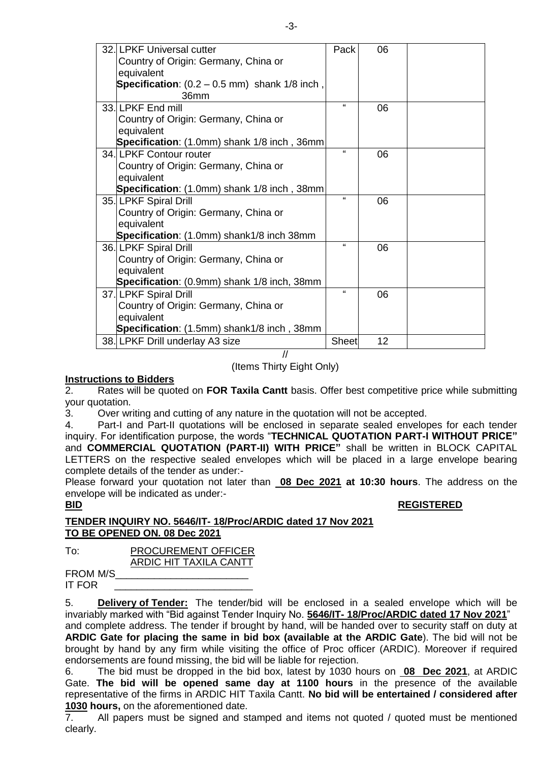| 32. LPKF Universal cutter                                 | Pack         | 06 |  |
|-----------------------------------------------------------|--------------|----|--|
| Country of Origin: Germany, China or                      |              |    |  |
| equivalent                                                |              |    |  |
| <b>Specification</b> : $(0.2 - 0.5$ mm) shank $1/8$ inch, |              |    |  |
| 36 <sub>mm</sub>                                          |              |    |  |
|                                                           | $\epsilon$   |    |  |
| 33. LPKF End mill                                         |              | 06 |  |
| Country of Origin: Germany, China or                      |              |    |  |
| equivalent                                                |              |    |  |
| Specification: (1.0mm) shank 1/8 inch, 36mm               |              |    |  |
| 34. LPKF Contour router                                   | $\mathbf{a}$ | 06 |  |
| Country of Origin: Germany, China or                      |              |    |  |
| equivalent                                                |              |    |  |
| Specification: (1.0mm) shank 1/8 inch, 38mm               |              |    |  |
| 35. LPKF Spiral Drill                                     | $\epsilon$   | 06 |  |
| Country of Origin: Germany, China or                      |              |    |  |
| equivalent                                                |              |    |  |
| Specification: (1.0mm) shank1/8 inch 38mm                 |              |    |  |
| 36. LPKF Spiral Drill                                     | $\mathbf{a}$ | 06 |  |
| Country of Origin: Germany, China or                      |              |    |  |
| equivalent                                                |              |    |  |
| Specification: (0.9mm) shank 1/8 inch, 38mm               |              |    |  |
| 37. LPKF Spiral Drill                                     | $\epsilon$   | 06 |  |
| Country of Origin: Germany, China or                      |              |    |  |
| equivalent                                                |              |    |  |
| Specification: (1.5mm) shank1/8 inch, 38mm                |              |    |  |
| 38. LPKF Drill underlay A3 size                           | <b>Sheet</b> | 12 |  |
| //                                                        |              |    |  |

(Items Thirty Eight Only)

### **Instructions to Bidders**

2. Rates will be quoted on **FOR Taxila Cantt** basis. Offer best competitive price while submitting your quotation.

3. Over writing and cutting of any nature in the quotation will not be accepted.

4. Part-I and Part-II quotations will be enclosed in separate sealed envelopes for each tender inquiry. For identification purpose, the words "**TECHNICAL QUOTATION PART-I WITHOUT PRICE"** and **COMMERCIAL QUOTATION (PART-II) WITH PRICE"** shall be written in BLOCK CAPITAL LETTERS on the respective sealed envelopes which will be placed in a large envelope bearing complete details of the tender as under:-

Please forward your quotation not later than **08 Dec 2021 at 10:30 hours**. The address on the envelope will be indicated as under:-

### **BID REGISTERED**

**TENDER INQUIRY NO. 5646/IT- 18/Proc/ARDIC dated 17 Nov 2021 TO BE OPENED ON. 08 Dec 2021**

To: PROCUREMENT OFFICER ARDIC HIT TAXILA CANTT

FROM M/S\_\_\_\_\_\_\_\_\_\_\_\_\_\_\_\_\_\_\_\_\_\_\_\_ IT FOR

5. **Delivery of Tender:** The tender/bid will be enclosed in a sealed envelope which will be invariably marked with "Bid against Tender Inquiry No. **5646/IT- 18/Proc/ARDIC dated 17 Nov 2021**" and complete address. The tender if brought by hand, will be handed over to security staff on duty at

**ARDIC Gate for placing the same in bid box (available at the ARDIC Gate**). The bid will not be brought by hand by any firm while visiting the office of Proc officer (ARDIC). Moreover if required endorsements are found missing, the bid will be liable for rejection.

6. The bid must be dropped in the bid box, latest by 1030 hours on **08 Dec 2021**, at ARDIC Gate. **The bid will be opened same day at 1100 hours** in the presence of the available representative of the firms in ARDIC HIT Taxila Cantt. **No bid will be entertained / considered after 1030 hours,** on the aforementioned date.

7. All papers must be signed and stamped and items not quoted / quoted must be mentioned clearly.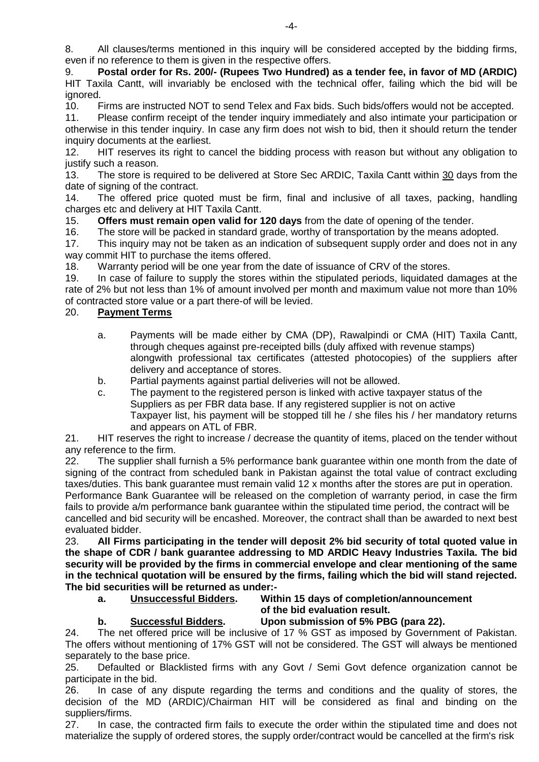8. All clauses/terms mentioned in this inquiry will be considered accepted by the bidding firms, even if no reference to them is given in the respective offers.

9. **Postal order for Rs. 200/- (Rupees Two Hundred) as a tender fee, in favor of MD (ARDIC)** HIT Taxila Cantt, will invariably be enclosed with the technical offer, failing which the bid will be ignored.

10. Firms are instructed NOT to send Telex and Fax bids. Such bids/offers would not be accepted.

11. Please confirm receipt of the tender inquiry immediately and also intimate your participation or otherwise in this tender inquiry. In case any firm does not wish to bid, then it should return the tender inquiry documents at the earliest.

12. HIT reserves its right to cancel the bidding process with reason but without any obligation to justify such a reason.

13. The store is required to be delivered at Store Sec ARDIC, Taxila Cantt within 30 days from the date of signing of the contract.

14. The offered price quoted must be firm, final and inclusive of all taxes, packing, handling charges etc and delivery at HIT Taxila Cantt.

15. **Offers must remain open valid for 120 days** from the date of opening of the tender.

16. The store will be packed in standard grade, worthy of transportation by the means adopted.

17. This inquiry may not be taken as an indication of subsequent supply order and does not in any way commit HIT to purchase the items offered.

18. Warranty period will be one year from the date of issuance of CRV of the stores.

19. In case of failure to supply the stores within the stipulated periods, liquidated damages at the rate of 2% but not less than 1% of amount involved per month and maximum value not more than 10% of contracted store value or a part there-of will be levied.

## 20. **Payment Terms**

- a. Payments will be made either by CMA (DP), Rawalpindi or CMA (HIT) Taxila Cantt, through cheques against pre-receipted bills (duly affixed with revenue stamps) alongwith professional tax certificates (attested photocopies) of the suppliers after delivery and acceptance of stores.
- b. Partial payments against partial deliveries will not be allowed.
- c. The payment to the registered person is linked with active taxpayer status of the Suppliers as per FBR data base. If any registered supplier is not on active Taxpayer list, his payment will be stopped till he / she files his / her mandatory returns and appears on ATL of FBR.

21. HIT reserves the right to increase / decrease the quantity of items, placed on the tender without any reference to the firm.

22. The supplier shall furnish a 5% performance bank guarantee within one month from the date of signing of the contract from scheduled bank in Pakistan against the total value of contract excluding taxes/duties. This bank guarantee must remain valid 12 x months after the stores are put in operation. Performance Bank Guarantee will be released on the completion of warranty period, in case the firm fails to provide a/m performance bank guarantee within the stipulated time period, the contract will be cancelled and bid security will be encashed. Moreover, the contract shall than be awarded to next best evaluated bidder.

23. **All Firms participating in the tender will deposit 2% bid security of total quoted value in the shape of CDR / bank guarantee addressing to MD ARDIC Heavy Industries Taxila. The bid security will be provided by the firms in commercial envelope and clear mentioning of the same in the technical quotation will be ensured by the firms, failing which the bid will stand rejected. The bid securities will be returned as under:-**

## **a. Unsuccessful Bidders. Within 15 days of completion/announcement of the bid evaluation result.**

**b. Successful Bidders. Upon submission of 5% PBG (para 22).**

24. The net offered price will be inclusive of 17 % GST as imposed by Government of Pakistan. The offers without mentioning of 17% GST will not be considered. The GST will always be mentioned separately to the base price.

25. Defaulted or Blacklisted firms with any Govt / Semi Govt defence organization cannot be participate in the bid.

26. In case of any dispute regarding the terms and conditions and the quality of stores, the decision of the MD (ARDIC)/Chairman HIT will be considered as final and binding on the suppliers/firms.

27. In case, the contracted firm fails to execute the order within the stipulated time and does not materialize the supply of ordered stores, the supply order/contract would be cancelled at the firm's risk